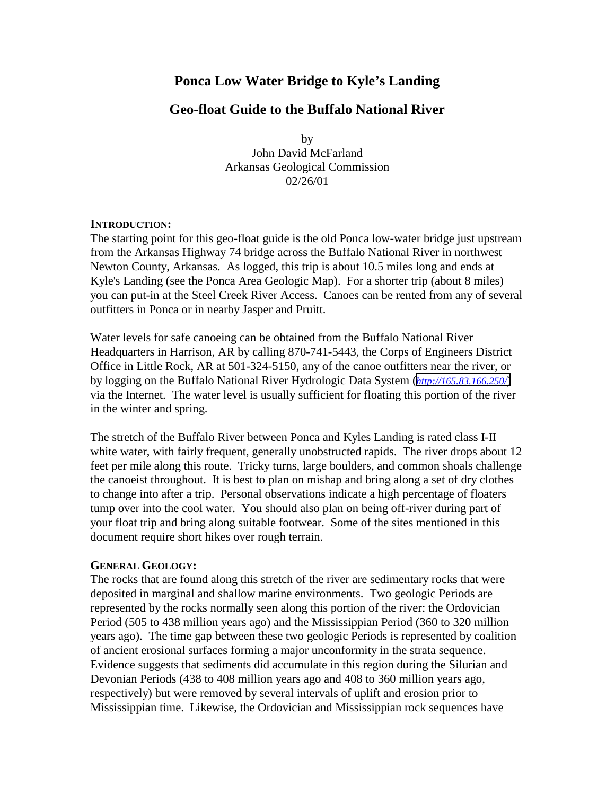# **Ponca Low Water Bridge to Kyle's Landing**

## **Geo-float Guide to the Buffalo National River**

by John David McFarland Arkansas Geological Commission 02/26/01

#### **INTRODUCTION:**

The starting point for this geo-float guide is the old Ponca low-water bridge just upstream from the Arkansas Highway 74 bridge across the Buffalo National River in northwest Newton County, Arkansas. As logged, this trip is about 10.5 miles long and ends at Kyle's Landing (see the Ponca Area Geologic Map). For a shorter trip (about 8 miles) you can put-in at the Steel Creek River Access. Canoes can be rented from any of several outfitters in Ponca or in nearby Jasper and Pruitt.

Water levels for safe canoeing can be obtained from the Buffalo National River Headquarters in Harrison, AR by calling 870-741-5443, the Corps of Engineers District Office in Little Rock, AR at 501-324-5150, any of the canoe outfitters near the river, or by logging on the Buffalo National River Hydrologic Data System (*<http://165.83.166.250/>*) via the Internet. The water level is usually sufficient for floating this portion of the river in the winter and spring.

The stretch of the Buffalo River between Ponca and Kyles Landing is rated class I-II white water, with fairly frequent, generally unobstructed rapids. The river drops about 12 feet per mile along this route. Tricky turns, large boulders, and common shoals challenge the canoeist throughout. It is best to plan on mishap and bring along a set of dry clothes to change into after a trip. Personal observations indicate a high percentage of floaters tump over into the cool water. You should also plan on being off-river during part of your float trip and bring along suitable footwear. Some of the sites mentioned in this document require short hikes over rough terrain.

### **GENERAL GEOLOGY:**

The rocks that are found along this stretch of the river are sedimentary rocks that were deposited in marginal and shallow marine environments. Two geologic Periods are represented by the rocks normally seen along this portion of the river: the Ordovician Period (505 to 438 million years ago) and the Mississippian Period (360 to 320 million years ago). The time gap between these two geologic Periods is represented by coalition of ancient erosional surfaces forming a major unconformity in the strata sequence. Evidence suggests that sediments did accumulate in this region during the Silurian and Devonian Periods (438 to 408 million years ago and 408 to 360 million years ago, respectively) but were removed by several intervals of uplift and erosion prior to Mississippian time. Likewise, the Ordovician and Mississippian rock sequences have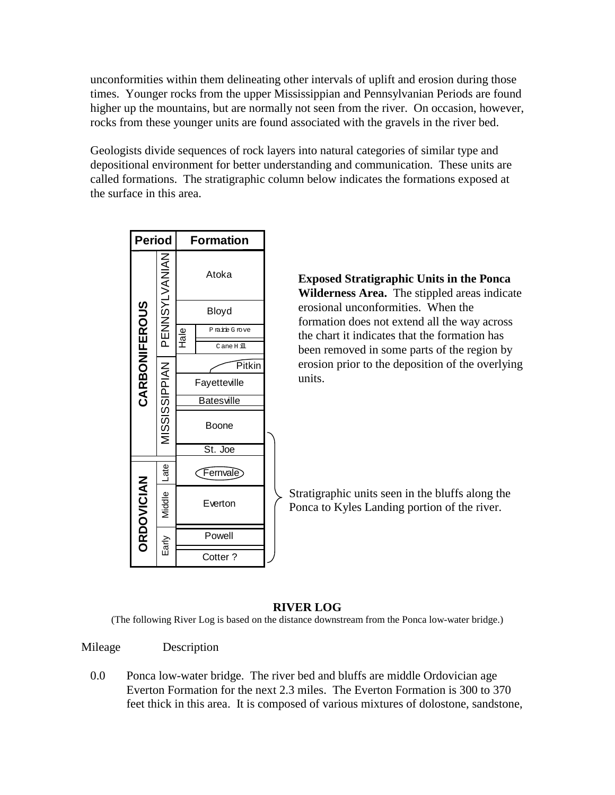unconformities within them delineating other intervals of uplift and erosion during those times. Younger rocks from the upper Mississippian and Pennsylvanian Periods are found higher up the mountains, but are normally not seen from the river. On occasion, however, rocks from these younger units are found associated with the gravels in the river bed.

Geologists divide sequences of rock layers into natural categories of similar type and depositional environment for better understanding and communication. These units are called formations. The stratigraphic column below indicates the formations exposed at the surface in this area.



**Exposed Stratigraphic Units in the Ponca Wilderness Area.** The stippled areas indicate erosional unconformities. When the formation does not extend all the way across the chart it indicates that the formation has been removed in some parts of the region by erosion prior to the deposition of the overlying units.

Stratigraphic units seen in the bluffs along the Ponca to Kyles Landing portion of the river.

### **RIVER LOG**

(The following River Log is based on the distance downstream from the Ponca low-water bridge.)

Mileage Description

0.0 Ponca low-water bridge. The river bed and bluffs are middle Ordovician age Everton Formation for the next 2.3 miles. The Everton Formation is 300 to 370 feet thick in this area. It is composed of various mixtures of dolostone, sandstone,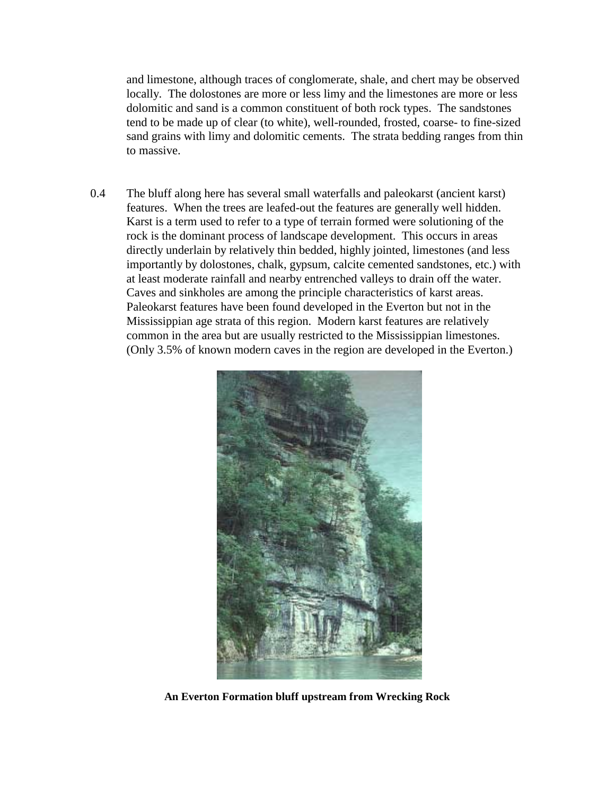and limestone, although traces of conglomerate, shale, and chert may be observed locally. The dolostones are more or less limy and the limestones are more or less dolomitic and sand is a common constituent of both rock types. The sandstones tend to be made up of clear (to white), well-rounded, frosted, coarse- to fine-sized sand grains with limy and dolomitic cements. The strata bedding ranges from thin to massive.

0.4 The bluff along here has several small waterfalls and paleokarst (ancient karst) features. When the trees are leafed-out the features are generally well hidden. Karst is a term used to refer to a type of terrain formed were solutioning of the rock is the dominant process of landscape development. This occurs in areas directly underlain by relatively thin bedded, highly jointed, limestones (and less importantly by dolostones, chalk, gypsum, calcite cemented sandstones, etc.) with at least moderate rainfall and nearby entrenched valleys to drain off the water. Caves and sinkholes are among the principle characteristics of karst areas. Paleokarst features have been found developed in the Everton but not in the Mississippian age strata of this region. Modern karst features are relatively common in the area but are usually restricted to the Mississippian limestones. (Only 3.5% of known modern caves in the region are developed in the Everton.)



**An Everton Formation bluff upstream from Wrecking Rock**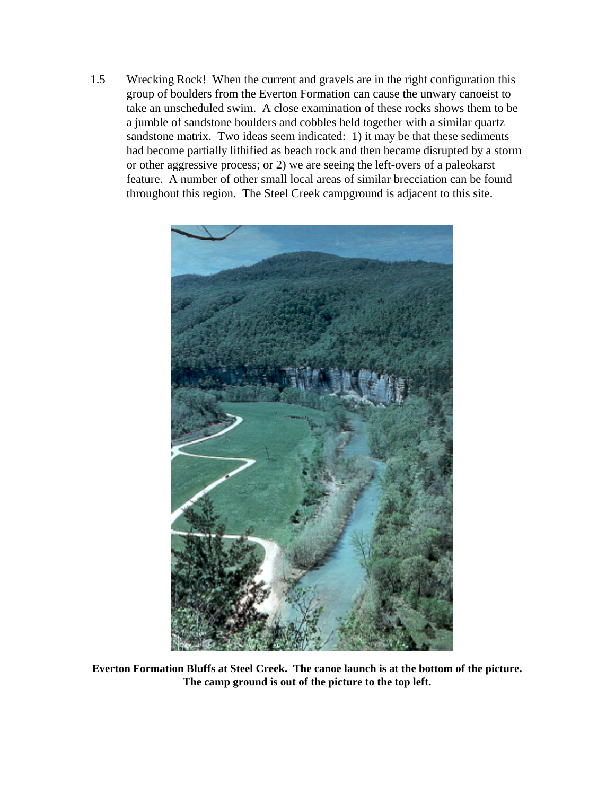1.5 Wrecking Rock! When the current and gravels are in the right configuration this group of boulders from the Everton Formation can cause the unwary canoeist to take an unscheduled swim. A close examination of these rocks shows them to be a jumble of sandstone boulders and cobbles held together with a similar quartz sandstone matrix. Two ideas seem indicated: 1) it may be that these sediments had become partially lithified as beach rock and then became disrupted by a storm or other aggressive process; or 2) we are seeing the left-overs of a paleokarst feature. A number of other small local areas of similar brecciation can be found throughout this region. The Steel Creek campground is adjacent to this site.



**Everton Formation Bluffs at Steel Creek. The canoe launch is at the bottom of the picture. The camp ground is out of the picture to the top left.**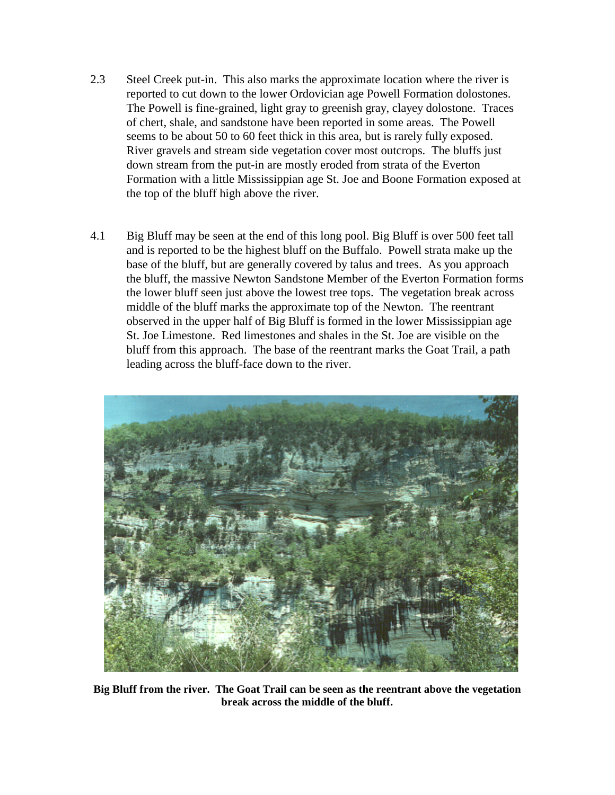- 2.3 Steel Creek put-in. This also marks the approximate location where the river is reported to cut down to the lower Ordovician age Powell Formation dolostones. The Powell is fine-grained, light gray to greenish gray, clayey dolostone. Traces of chert, shale, and sandstone have been reported in some areas. The Powell seems to be about 50 to 60 feet thick in this area, but is rarely fully exposed. River gravels and stream side vegetation cover most outcrops. The bluffs just down stream from the put-in are mostly eroded from strata of the Everton Formation with a little Mississippian age St. Joe and Boone Formation exposed at the top of the bluff high above the river.
- 4.1 Big Bluff may be seen at the end of this long pool. Big Bluff is over 500 feet tall and is reported to be the highest bluff on the Buffalo. Powell strata make up the base of the bluff, but are generally covered by talus and trees. As you approach the bluff, the massive Newton Sandstone Member of the Everton Formation forms the lower bluff seen just above the lowest tree tops. The vegetation break across middle of the bluff marks the approximate top of the Newton. The reentrant observed in the upper half of Big Bluff is formed in the lower Mississippian age St. Joe Limestone. Red limestones and shales in the St. Joe are visible on the bluff from this approach. The base of the reentrant marks the Goat Trail, a path leading across the bluff-face down to the river.



**Big Bluff from the river. The Goat Trail can be seen as the reentrant above the vegetation break across the middle of the bluff.**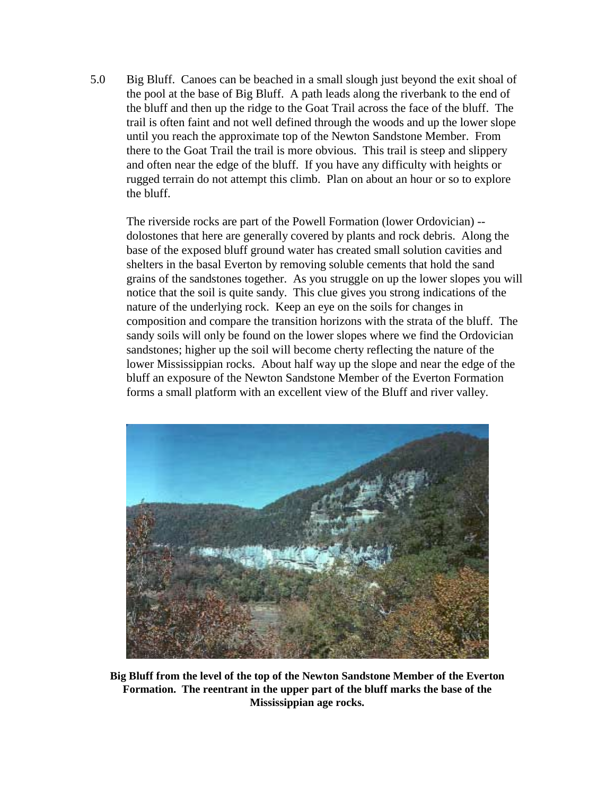5.0 Big Bluff. Canoes can be beached in a small slough just beyond the exit shoal of the pool at the base of Big Bluff. A path leads along the riverbank to the end of the bluff and then up the ridge to the Goat Trail across the face of the bluff. The trail is often faint and not well defined through the woods and up the lower slope until you reach the approximate top of the Newton Sandstone Member. From there to the Goat Trail the trail is more obvious. This trail is steep and slippery and often near the edge of the bluff. If you have any difficulty with heights or rugged terrain do not attempt this climb. Plan on about an hour or so to explore the bluff.

The riverside rocks are part of the Powell Formation (lower Ordovician) - dolostones that here are generally covered by plants and rock debris. Along the base of the exposed bluff ground water has created small solution cavities and shelters in the basal Everton by removing soluble cements that hold the sand grains of the sandstones together. As you struggle on up the lower slopes you will notice that the soil is quite sandy. This clue gives you strong indications of the nature of the underlying rock. Keep an eye on the soils for changes in composition and compare the transition horizons with the strata of the bluff. The sandy soils will only be found on the lower slopes where we find the Ordovician sandstones; higher up the soil will become cherty reflecting the nature of the lower Mississippian rocks. About half way up the slope and near the edge of the bluff an exposure of the Newton Sandstone Member of the Everton Formation forms a small platform with an excellent view of the Bluff and river valley.



**Big Bluff from the level of the top of the Newton Sandstone Member of the Everton Formation. The reentrant in the upper part of the bluff marks the base of the Mississippian age rocks.**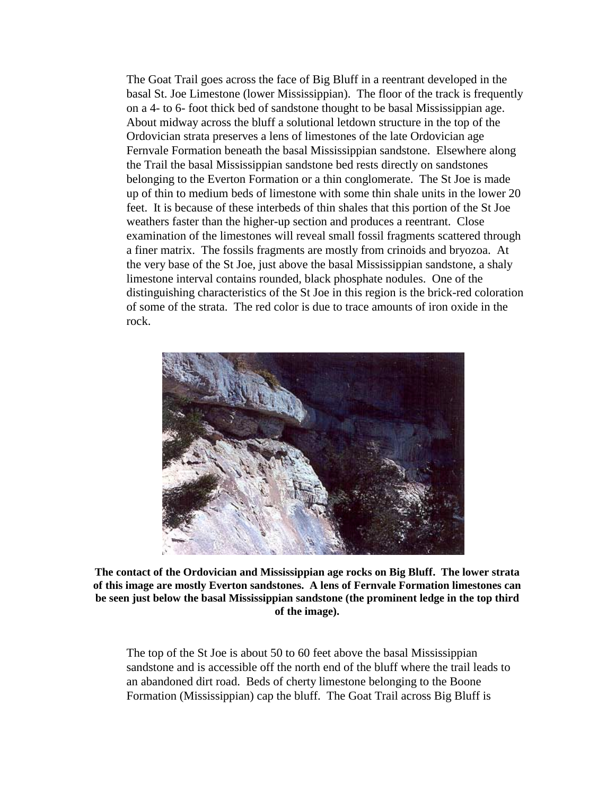The Goat Trail goes across the face of Big Bluff in a reentrant developed in the basal St. Joe Limestone (lower Mississippian). The floor of the track is frequently on a 4- to 6- foot thick bed of sandstone thought to be basal Mississippian age. About midway across the bluff a solutional letdown structure in the top of the Ordovician strata preserves a lens of limestones of the late Ordovician age Fernvale Formation beneath the basal Mississippian sandstone. Elsewhere along the Trail the basal Mississippian sandstone bed rests directly on sandstones belonging to the Everton Formation or a thin conglomerate. The St Joe is made up of thin to medium beds of limestone with some thin shale units in the lower 20 feet. It is because of these interbeds of thin shales that this portion of the St Joe weathers faster than the higher-up section and produces a reentrant. Close examination of the limestones will reveal small fossil fragments scattered through a finer matrix. The fossils fragments are mostly from crinoids and bryozoa. At the very base of the St Joe, just above the basal Mississippian sandstone, a shaly limestone interval contains rounded, black phosphate nodules. One of the distinguishing characteristics of the St Joe in this region is the brick-red coloration of some of the strata. The red color is due to trace amounts of iron oxide in the rock.



**The contact of the Ordovician and Mississippian age rocks on Big Bluff. The lower strata of this image are mostly Everton sandstones. A lens of Fernvale Formation limestones can be seen just below the basal Mississippian sandstone (the prominent ledge in the top third of the image).**

The top of the St Joe is about 50 to 60 feet above the basal Mississippian sandstone and is accessible off the north end of the bluff where the trail leads to an abandoned dirt road. Beds of cherty limestone belonging to the Boone Formation (Mississippian) cap the bluff. The Goat Trail across Big Bluff is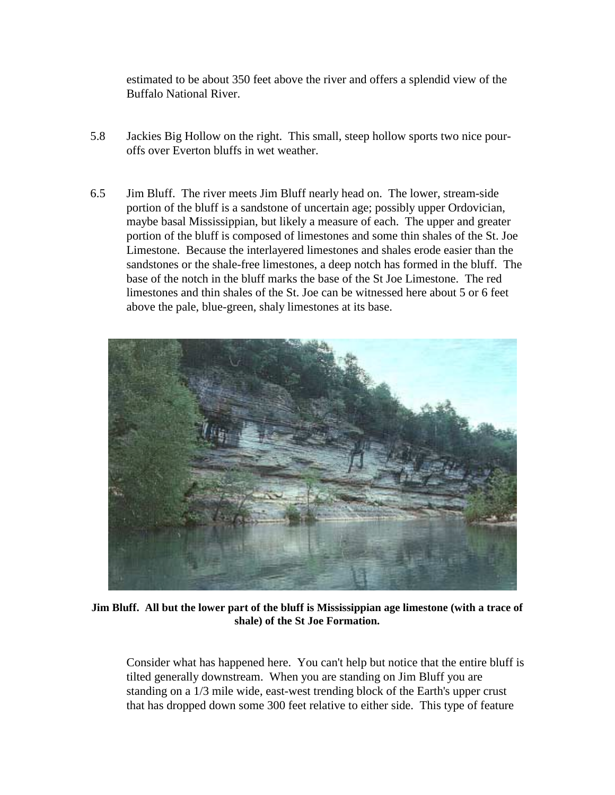estimated to be about 350 feet above the river and offers a splendid view of the Buffalo National River.

- 5.8 Jackies Big Hollow on the right. This small, steep hollow sports two nice pouroffs over Everton bluffs in wet weather.
- 6.5 Jim Bluff. The river meets Jim Bluff nearly head on. The lower, stream-side portion of the bluff is a sandstone of uncertain age; possibly upper Ordovician, maybe basal Mississippian, but likely a measure of each. The upper and greater portion of the bluff is composed of limestones and some thin shales of the St. Joe Limestone. Because the interlayered limestones and shales erode easier than the sandstones or the shale-free limestones, a deep notch has formed in the bluff. The base of the notch in the bluff marks the base of the St Joe Limestone. The red limestones and thin shales of the St. Joe can be witnessed here about 5 or 6 feet above the pale, blue-green, shaly limestones at its base.



**Jim Bluff. All but the lower part of the bluff is Mississippian age limestone (with a trace of shale) of the St Joe Formation.**

Consider what has happened here. You can't help but notice that the entire bluff is tilted generally downstream. When you are standing on Jim Bluff you are standing on a 1/3 mile wide, east-west trending block of the Earth's upper crust that has dropped down some 300 feet relative to either side. This type of feature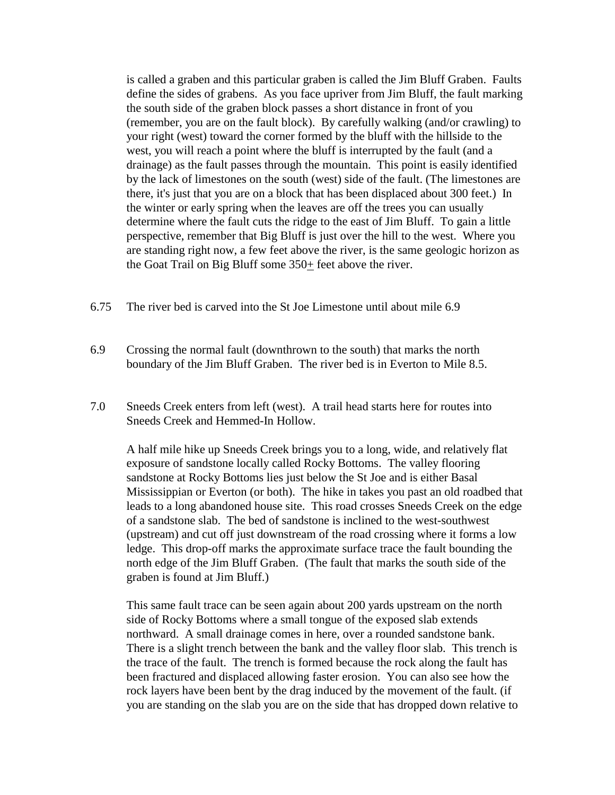is called a graben and this particular graben is called the Jim Bluff Graben. Faults define the sides of grabens. As you face upriver from Jim Bluff, the fault marking the south side of the graben block passes a short distance in front of you (remember, you are on the fault block). By carefully walking (and/or crawling) to your right (west) toward the corner formed by the bluff with the hillside to the west, you will reach a point where the bluff is interrupted by the fault (and a drainage) as the fault passes through the mountain. This point is easily identified by the lack of limestones on the south (west) side of the fault. (The limestones are there, it's just that you are on a block that has been displaced about 300 feet.) In the winter or early spring when the leaves are off the trees you can usually determine where the fault cuts the ridge to the east of Jim Bluff. To gain a little perspective, remember that Big Bluff is just over the hill to the west. Where you are standing right now, a few feet above the river, is the same geologic horizon as the Goat Trail on Big Bluff some 350+ feet above the river.

- 6.75 The river bed is carved into the St Joe Limestone until about mile 6.9
- 6.9 Crossing the normal fault (downthrown to the south) that marks the north boundary of the Jim Bluff Graben. The river bed is in Everton to Mile 8.5.
- 7.0 Sneeds Creek enters from left (west). A trail head starts here for routes into Sneeds Creek and Hemmed-In Hollow.

A half mile hike up Sneeds Creek brings you to a long, wide, and relatively flat exposure of sandstone locally called Rocky Bottoms. The valley flooring sandstone at Rocky Bottoms lies just below the St Joe and is either Basal Mississippian or Everton (or both). The hike in takes you past an old roadbed that leads to a long abandoned house site. This road crosses Sneeds Creek on the edge of a sandstone slab. The bed of sandstone is inclined to the west-southwest (upstream) and cut off just downstream of the road crossing where it forms a low ledge. This drop-off marks the approximate surface trace the fault bounding the north edge of the Jim Bluff Graben. (The fault that marks the south side of the graben is found at Jim Bluff.)

This same fault trace can be seen again about 200 yards upstream on the north side of Rocky Bottoms where a small tongue of the exposed slab extends northward. A small drainage comes in here, over a rounded sandstone bank. There is a slight trench between the bank and the valley floor slab. This trench is the trace of the fault. The trench is formed because the rock along the fault has been fractured and displaced allowing faster erosion. You can also see how the rock layers have been bent by the drag induced by the movement of the fault. (if you are standing on the slab you are on the side that has dropped down relative to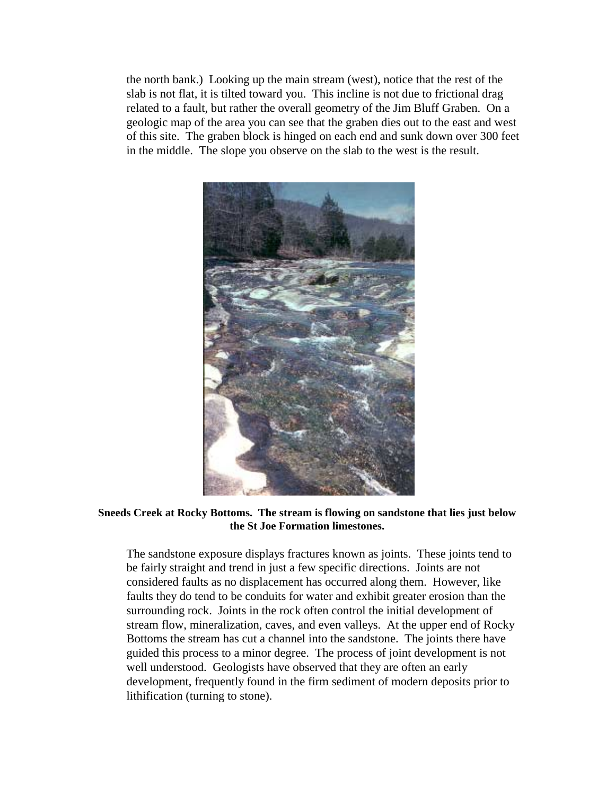the north bank.) Looking up the main stream (west), notice that the rest of the slab is not flat, it is tilted toward you. This incline is not due to frictional drag related to a fault, but rather the overall geometry of the Jim Bluff Graben. On a geologic map of the area you can see that the graben dies out to the east and west of this site. The graben block is hinged on each end and sunk down over 300 feet in the middle. The slope you observe on the slab to the west is the result.



**Sneeds Creek at Rocky Bottoms. The stream is flowing on sandstone that lies just below the St Joe Formation limestones.**

The sandstone exposure displays fractures known as joints. These joints tend to be fairly straight and trend in just a few specific directions. Joints are not considered faults as no displacement has occurred along them. However, like faults they do tend to be conduits for water and exhibit greater erosion than the surrounding rock. Joints in the rock often control the initial development of stream flow, mineralization, caves, and even valleys. At the upper end of Rocky Bottoms the stream has cut a channel into the sandstone. The joints there have guided this process to a minor degree. The process of joint development is not well understood. Geologists have observed that they are often an early development, frequently found in the firm sediment of modern deposits prior to lithification (turning to stone).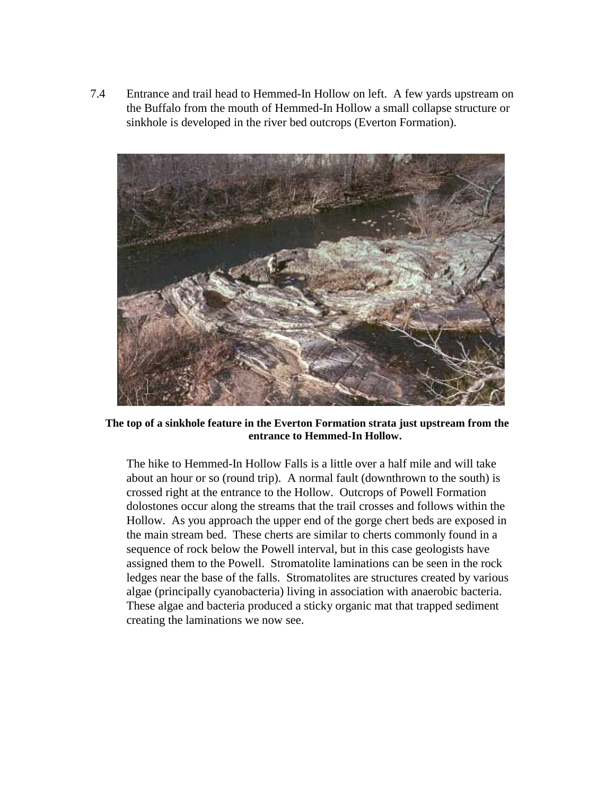7.4 Entrance and trail head to Hemmed-In Hollow on left. A few yards upstream on the Buffalo from the mouth of Hemmed-In Hollow a small collapse structure or sinkhole is developed in the river bed outcrops (Everton Formation).



**The top of a sinkhole feature in the Everton Formation strata just upstream from the entrance to Hemmed-In Hollow.**

The hike to Hemmed-In Hollow Falls is a little over a half mile and will take about an hour or so (round trip). A normal fault (downthrown to the south) is crossed right at the entrance to the Hollow. Outcrops of Powell Formation dolostones occur along the streams that the trail crosses and follows within the Hollow. As you approach the upper end of the gorge chert beds are exposed in the main stream bed. These cherts are similar to cherts commonly found in a sequence of rock below the Powell interval, but in this case geologists have assigned them to the Powell. Stromatolite laminations can be seen in the rock ledges near the base of the falls. Stromatolites are structures created by various algae (principally cyanobacteria) living in association with anaerobic bacteria. These algae and bacteria produced a sticky organic mat that trapped sediment creating the laminations we now see.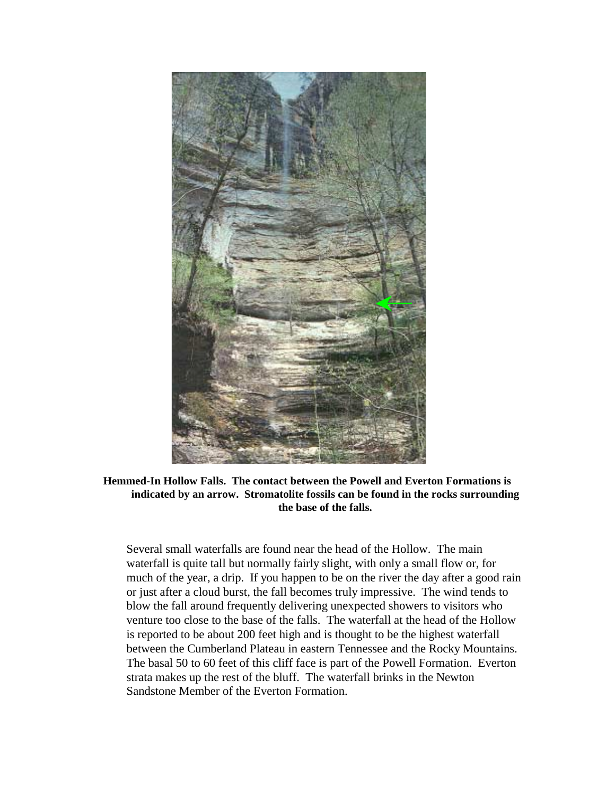

**Hemmed-In Hollow Falls. The contact between the Powell and Everton Formations is indicated by an arrow. Stromatolite fossils can be found in the rocks surrounding the base of the falls.**

Several small waterfalls are found near the head of the Hollow. The main waterfall is quite tall but normally fairly slight, with only a small flow or, for much of the year, a drip. If you happen to be on the river the day after a good rain or just after a cloud burst, the fall becomes truly impressive. The wind tends to blow the fall around frequently delivering unexpected showers to visitors who venture too close to the base of the falls. The waterfall at the head of the Hollow is reported to be about 200 feet high and is thought to be the highest waterfall between the Cumberland Plateau in eastern Tennessee and the Rocky Mountains. The basal 50 to 60 feet of this cliff face is part of the Powell Formation. Everton strata makes up the rest of the bluff. The waterfall brinks in the Newton Sandstone Member of the Everton Formation.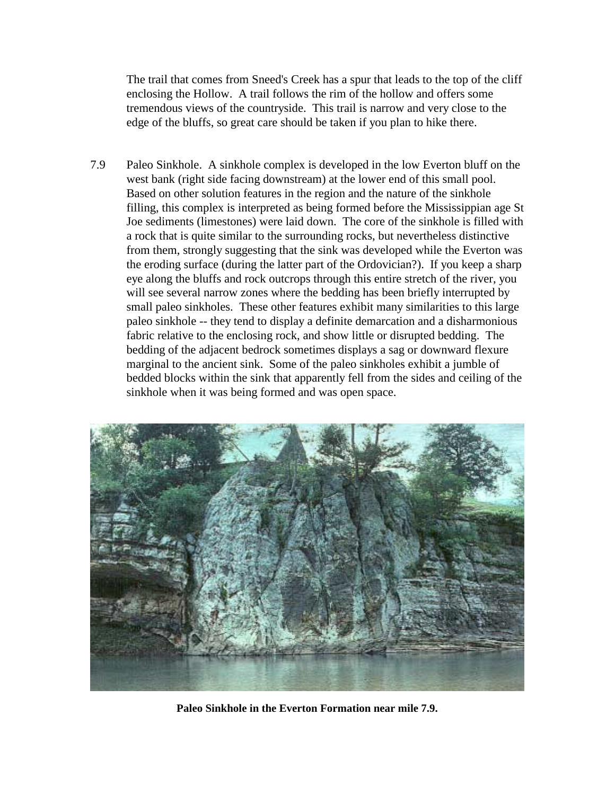The trail that comes from Sneed's Creek has a spur that leads to the top of the cliff enclosing the Hollow. A trail follows the rim of the hollow and offers some tremendous views of the countryside. This trail is narrow and very close to the edge of the bluffs, so great care should be taken if you plan to hike there.

7.9 Paleo Sinkhole. A sinkhole complex is developed in the low Everton bluff on the west bank (right side facing downstream) at the lower end of this small pool. Based on other solution features in the region and the nature of the sinkhole filling, this complex is interpreted as being formed before the Mississippian age St Joe sediments (limestones) were laid down. The core of the sinkhole is filled with a rock that is quite similar to the surrounding rocks, but nevertheless distinctive from them, strongly suggesting that the sink was developed while the Everton was the eroding surface (during the latter part of the Ordovician?). If you keep a sharp eye along the bluffs and rock outcrops through this entire stretch of the river, you will see several narrow zones where the bedding has been briefly interrupted by small paleo sinkholes. These other features exhibit many similarities to this large paleo sinkhole -- they tend to display a definite demarcation and a disharmonious fabric relative to the enclosing rock, and show little or disrupted bedding. The bedding of the adjacent bedrock sometimes displays a sag or downward flexure marginal to the ancient sink. Some of the paleo sinkholes exhibit a jumble of bedded blocks within the sink that apparently fell from the sides and ceiling of the sinkhole when it was being formed and was open space.



**Paleo Sinkhole in the Everton Formation near mile 7.9.**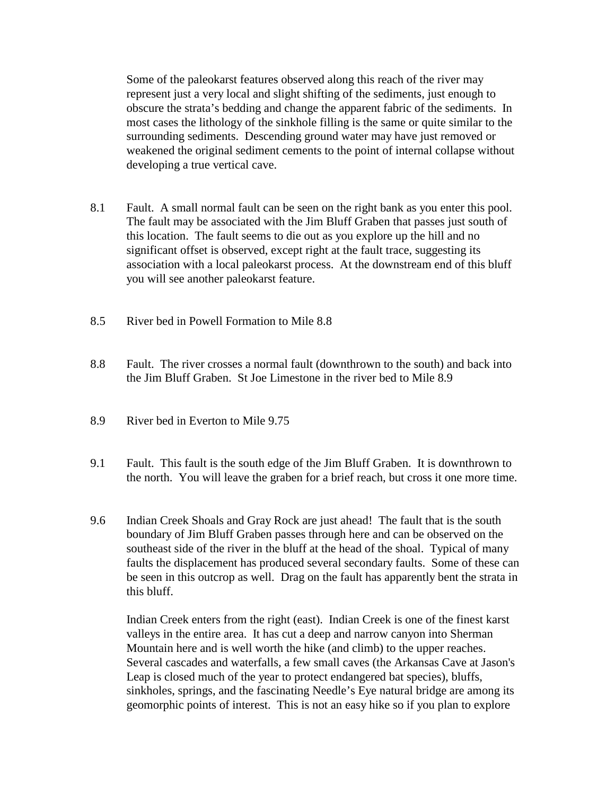Some of the paleokarst features observed along this reach of the river may represent just a very local and slight shifting of the sediments, just enough to obscure the strata's bedding and change the apparent fabric of the sediments. In most cases the lithology of the sinkhole filling is the same or quite similar to the surrounding sediments. Descending ground water may have just removed or weakened the original sediment cements to the point of internal collapse without developing a true vertical cave.

- 8.1 Fault. A small normal fault can be seen on the right bank as you enter this pool. The fault may be associated with the Jim Bluff Graben that passes just south of this location. The fault seems to die out as you explore up the hill and no significant offset is observed, except right at the fault trace, suggesting its association with a local paleokarst process. At the downstream end of this bluff you will see another paleokarst feature.
- 8.5 River bed in Powell Formation to Mile 8.8
- 8.8 Fault. The river crosses a normal fault (downthrown to the south) and back into the Jim Bluff Graben. St Joe Limestone in the river bed to Mile 8.9
- 8.9 River bed in Everton to Mile 9.75
- 9.1 Fault. This fault is the south edge of the Jim Bluff Graben. It is downthrown to the north. You will leave the graben for a brief reach, but cross it one more time.
- 9.6 Indian Creek Shoals and Gray Rock are just ahead! The fault that is the south boundary of Jim Bluff Graben passes through here and can be observed on the southeast side of the river in the bluff at the head of the shoal. Typical of many faults the displacement has produced several secondary faults. Some of these can be seen in this outcrop as well. Drag on the fault has apparently bent the strata in this bluff.

Indian Creek enters from the right (east). Indian Creek is one of the finest karst valleys in the entire area. It has cut a deep and narrow canyon into Sherman Mountain here and is well worth the hike (and climb) to the upper reaches. Several cascades and waterfalls, a few small caves (the Arkansas Cave at Jason's Leap is closed much of the year to protect endangered bat species), bluffs, sinkholes, springs, and the fascinating Needle's Eye natural bridge are among its geomorphic points of interest. This is not an easy hike so if you plan to explore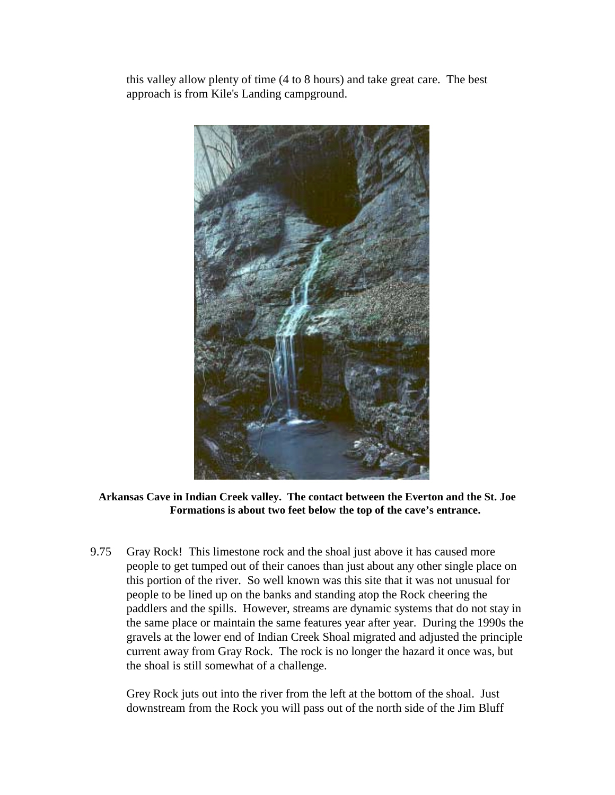this valley allow plenty of time (4 to 8 hours) and take great care. The best approach is from Kile's Landing campground.



### **Arkansas Cave in Indian Creek valley. The contact between the Everton and the St. Joe Formations is about two feet below the top of the cave's entrance.**

9.75 Gray Rock! This limestone rock and the shoal just above it has caused more people to get tumped out of their canoes than just about any other single place on this portion of the river. So well known was this site that it was not unusual for people to be lined up on the banks and standing atop the Rock cheering the paddlers and the spills. However, streams are dynamic systems that do not stay in the same place or maintain the same features year after year. During the 1990s the gravels at the lower end of Indian Creek Shoal migrated and adjusted the principle current away from Gray Rock. The rock is no longer the hazard it once was, but the shoal is still somewhat of a challenge.

Grey Rock juts out into the river from the left at the bottom of the shoal. Just downstream from the Rock you will pass out of the north side of the Jim Bluff